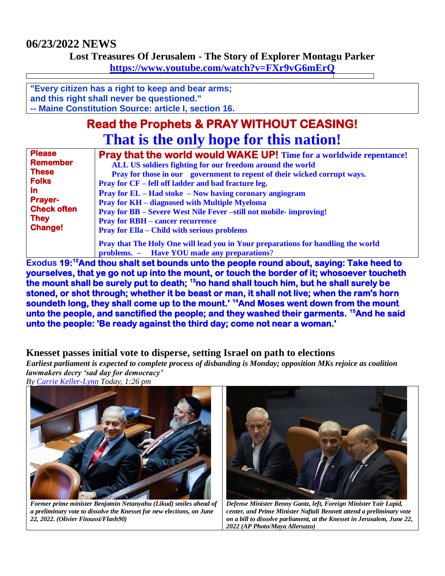## **06/23/2022 NEWS**

**Lost Treasures Of Jerusalem - The Story of Explorer Montagu Parker**

**<https://www.youtube.com/watch?v=FXr9vG6mErQ>**

**"Every citizen has a right to keep and bear arms; and this right shall never be questioned." -- Maine Constitution Source: article I, section 16.**

# **Read the Prophets & PRAY WITHOUT CEASING! That is the only hope for this nation!**

| <b>Please</b>                 | <b>Pray that the world would WAKE UP!</b> Time for a worldwide repentance!       |
|-------------------------------|----------------------------------------------------------------------------------|
| <b>Remember</b>               | ALL US soldiers fighting for our freedom around the world                        |
| <b>These</b>                  | Pray for those in our government to repent of their wicked corrupt ways.         |
| <b>Folks</b>                  | <b>Pray for CF</b> – fell off ladder and bad fracture leg.                       |
| <u>In</u>                     | <b>Pray for EL</b> – Had stoke – Now having coronary angiogram                   |
| <b>Prayer-</b>                | <b>Pray for KH</b> – diagnosed with Multiple Myeloma                             |
| <b>Check often</b>            | <b>Pray for BB</b> – Severe West Nile Fever –still not mobile-improving!         |
| <b>They</b><br><b>Change!</b> | <b>Pray for RBH – cancer recurrence</b>                                          |
|                               | <b>Pray for Ella – Child with serious problems</b>                               |
|                               | Pray that The Holy One will lead you in Your preparations for handling the world |
|                               | problems. - Have YOU made any preparations?                                      |

**Exodus 19:<sup>12</sup>And thou shalt set bounds unto the people round about, saying: Take heed to yourselves, that ye go not up into the mount, or touch the border of it; whosoever toucheth the mount shall be surely put to death; <sup>13</sup>no hand shall touch him, but he shall surely be stoned, or shot through; whether it be beast or man, it shall not live; when the ram's horn soundeth long, they shall come up to the mount.' <sup>14</sup>And Moses went down from the mount unto the people, and sanctified the people; and they washed their garments. <sup>15</sup>And he said unto the people: 'Be ready against the third day; come not near a woman.'** 

## **Knesset passes initial vote to disperse, setting Israel on path to elections**

*Earliest parliament is expected to complete process of disbanding is Monday; opposition MKs rejoice as coalition lawmakers decry 'sad day for democracy'*

*By [Carrie Keller-Lynn](https://www.timesofisrael.com/writers/carrie-keller-lynn/) Today, 1:26 pm*



*Former prime minister Benjamin Netanyahu (Likud) smiles ahead of a preliminary vote to dissolve the Knesset for new elections, on June 22, 2022. (Olivier Fitoussi/Flash90)*



*Defense Minister Benny Gantz, left, Foreign Minister Yair Lapid, center, and Prime Minister Naftali Bennett attend a preliminary vote on a bill to dissolve parliament, at the Knesset in Jerusalem, June 22, 2022 (AP Photo/Maya Alleruzzo)*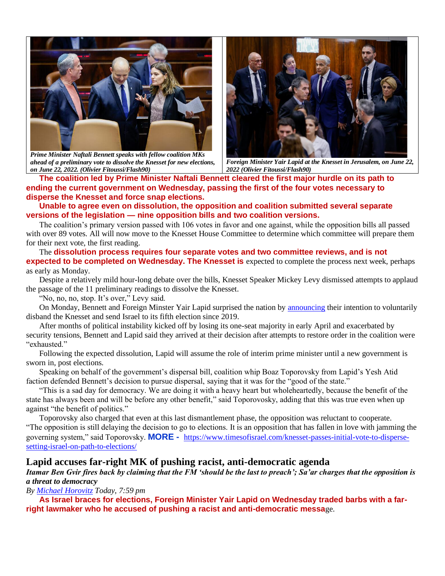

*Prime Minister Naftali Bennett speaks with fellow coalition MKs ahead of a preliminary vote to dissolve the Knesset for new elections, on June 22, 2022. (Olivier Fitoussi/Flash90)*



*Foreign Minister Yair Lapid at the Knesset in Jerusalem, on June 22, 2022 (Olivier Fitoussi/Flash90)*

**The coalition led by Prime Minister Naftali Bennett cleared the first major hurdle on its path to ending the current government on Wednesday, passing the first of the four votes necessary to disperse the Knesset and force snap elections.**

**Unable to agree even on dissolution, the opposition and coalition submitted several separate versions of the legislation — nine opposition bills and two coalition versions.**

The coalition's primary version passed with 106 votes in favor and one against, while the opposition bills all passed with over 89 votes. All will now move to the Knesset House Committee to determine which committee will prepare them for their next vote, the first reading.

The **dissolution process requires four separate votes and two committee reviews, and is not expected to be completed on Wednesday. The Knesset is** expected to complete the process next week, perhaps as early as Monday.

Despite a relatively mild hour-long debate over the bills, Knesset Speaker Mickey Levy dismissed attempts to applaud the passage of the 11 preliminary readings to dissolve the Knesset.

"No, no, no, stop. It's over," Levy said.

On Monday, Bennett and Foreign Minster Yair Lapid surprised the nation by **announcing** their intention to voluntarily disband the Knesset and send Israel to its fifth election since 2019.

After months of political instability kicked off by losing its one-seat majority in early April and exacerbated by security tensions, Bennett and Lapid said they arrived at their decision after attempts to restore order in the coalition were "exhausted."

Following the expected dissolution, Lapid will assume the role of interim prime minister until a new government is sworn in, post elections.

Speaking on behalf of the government's dispersal bill, coalition whip Boaz Toporovsky from Lapid's Yesh Atid faction defended Bennett's decision to pursue dispersal, saying that it was for the "good of the state."

"This is a sad day for democracy. We are doing it with a heavy heart but wholeheartedly, because the benefit of the state has always been and will be before any other benefit," said Toporovosky, adding that this was true even when up against "the benefit of politics."

Toporovsky also charged that even at this last dismantlement phase, the opposition was reluctant to cooperate. "The opposition is still delaying the decision to go to elections. It is an opposition that has fallen in love with jamming the governing system," said Toporovsky. **MORE -** [https://www.timesofisrael.com/knesset-passes-initial-vote-to-disperse](https://www.timesofisrael.com/knesset-passes-initial-vote-to-disperse-setting-israel-on-path-to-elections/)[setting-israel-on-path-to-elections/](https://www.timesofisrael.com/knesset-passes-initial-vote-to-disperse-setting-israel-on-path-to-elections/)

### **Lapid accuses far-right MK of pushing racist, anti-democratic agenda**

*Itamar Ben Gvir fires back by claiming that the FM 'should be the last to preach'; Sa'ar charges that the opposition is a threat to democracy*

*By [Michael Horovitz](https://www.timesofisrael.com/writers/michael-horovitz/) Today, 7:59 pm*

**As Israel braces for elections, Foreign Minister Yair Lapid on Wednesday traded barbs with a farright lawmaker who he accused of pushing a racist and anti-democratic messa**ge.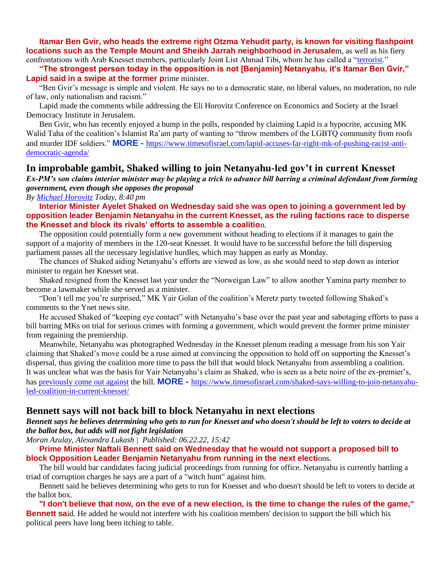**Itamar Ben Gvir, who heads the extreme right Otzma Yehudit party, is known for visiting flashpoint locations such as the Temple Mount and Sheikh Jarrah neighborhood in Jerusale**m, as well as his fiery confrontations with Arab Knesset members, particularly Joint List Ahmad Tibi, whom he has called a ["terrorist.](https://www.timesofisrael.com/itamar-ben-gvir-dragged-off-knesset-podium-for-calling-arab-chair-terrorist/)"

**"The strongest person today in the opposition is not [Benjamin] Netanyahu, it's Itamar Ben Gvir," Lapid said in a swipe at the former p**rime minister.

"Ben Gvir's message is simple and violent. He says no to a democratic state, no liberal values, no moderation, no rule of law, only nationalism and racism."

Lapid made the comments while addressing the Eli Horovitz Conference on Economics and Society at the Israel Democracy Institute in Jerusalem.

Ben Gvir, who has recently enjoyed a bump in the polls, responded by claiming Lapid is a hypocrite, accusing MK Walid Taha of the coalition's Islamist Ra'am party of wanting to "throw members of the LGBTQ community from roofs and murder IDF soldiers." **MORE -** [https://www.timesofisrael.com/lapid-accuses-far-right-mk-of-pushing-racist-anti](https://www.timesofisrael.com/lapid-accuses-far-right-mk-of-pushing-racist-anti-democratic-agenda/)[democratic-agenda/](https://www.timesofisrael.com/lapid-accuses-far-right-mk-of-pushing-racist-anti-democratic-agenda/)

### **In improbable gambit, Shaked willing to join Netanyahu-led gov't in current Knesset**

*Ex-PM's son claims interior minister may be playing a trick to advance bill barring a criminal defendant from forming government, even though she opposes the proposal*

*By [Michael Horovitz](https://www.timesofisrael.com/writers/michael-horovitz/) Today, 8:40 pm*

**Interior Minister Ayelet Shaked on Wednesday said she was open to joining a government led by opposition leader Benjamin Netanyahu in the current Knesset, as the ruling factions race to disperse the Knesset and block its rivals' efforts to assemble a coalitio**n.

The opposition could potentially form a new government without heading to elections if it manages to gain the support of a majority of members in the 120-seat Knesset. It would have to be successful before the bill dispersing parliament passes all the necessary legislative hurdles, which may happen as early as Monday.

The chances of Shaked aiding Netanyahu's efforts are viewed as low, as she would need to step down as interior minister to regain her Knesset seat.

Shaked resigned from the Knesset last year under the "Norweigan Law" to allow another Yamina party member to become a lawmaker while she served as a minister.

"Don't tell me you're surprised," MK Yair Golan of the coalition's Meretz party tweeted following Shaked's comments to the Ynet news site.

He accused Shaked of "keeping eye contact" with Netanyahu's base over the past year and sabotaging efforts to pass a bill barring MKs on trial for serious crimes with forming a government, which would prevent the former prime minister from regaining the premiership.

Meanwhile, Netanyahu was photographed Wednesday in the Knesset plenum reading a message from his son Yair claiming that Shaked's move could be a ruse aimed at convincing the opposition to hold off on supporting the Knesset's dispersal, thus giving the coalition more time to pass the bill that would block Netanyahu from assembling a coalition. It was unclear what was the basis for Yair Netanyahu's claim as Shaked, who is seen as a bete noire of the ex-premier's, has [previously come out against](https://www.timesofisrael.com/shaked-opposes-bill-to-ban-indicted-politician-from-forming-government/) the bill. **MORE -** [https://www.timesofisrael.com/shaked-says-willing-to-join-netanyahu](https://www.timesofisrael.com/shaked-says-willing-to-join-netanyahu-led-coalition-in-current-knesset/)[led-coalition-in-current-knesset/](https://www.timesofisrael.com/shaked-says-willing-to-join-netanyahu-led-coalition-in-current-knesset/)

### **Bennett says will not back bill to block Netanyahu in next elections**

*Bennett says he believes determining who gets to run for Knesset and who doesn't should be left to voters to decide at the ballot box, but adds will not fight legislation*

*Moran Azulay, Alexandra Lukash | Published: 06.22.22, 15:42* 

**Prime Minister Naftali Bennett said on Wednesday that he would not support a proposed bill to block Opposition Leader Benjamin Netanyahu from running in the next electi**ons.

The bill would bar candidates facing judicial proceedings from running for office. Netanyahu is currently battling a triad of corruption charges he says are a part of a "witch hunt" against him.

Bennett said he believes determining who gets to run for Knesset and who doesn't should be left to voters to decide at the ballot box.

**"I don't believe that now, on the eve of a new election, is the time to change the rules of the game," Bennett sai**d. He added he would not interfere with his coalition members' decision to support the bill which his political peers have long been itching to table.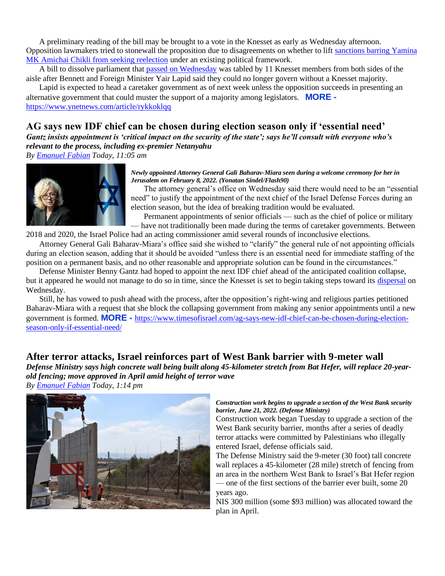A preliminary reading of the bill may be brought to a vote in the Knesset as early as Wednesday afternoon. Opposition lawmakers tried to stonewall the proposition due to disagreements on whether to lift [sanctions barring Yamina](https://www.ynetnews.com/article/rjgtmvrhq)  [MK Amichai Chikli from seeking reelection](https://www.ynetnews.com/article/rjgtmvrhq) under an existing political framework.

A bill to dissolve parliament that [passed on Wednesday](https://www.ynetnews.com/article/byofsvx95) was tabled by 11 Knesset members from both sides of the aisle after Bennett and Foreign Minister Yair Lapid said they could no longer govern without a Knesset majority.

Lapid is expected to head a caretaker government as of next week unless the opposition succeeds in presenting an alternative government that could muster the support of a majority among legislators. **MORE**  https://www.ynetnews.com/article/rykkoklaa

## **AG says new IDF chief can be chosen during election season only if 'essential need'**

*Gantz insists appointment is 'critical impact on the security of the state'; says he'll consult with everyone who's relevant to the process, including ex-premier Netanyahu*

*By [Emanuel Fabian](https://www.timesofisrael.com/writers/emanuel-fabian/) Today, 11:05 am*



*Newly appointed Attorney General Gali Baharav-Miara seen during a welcome ceremony for her in Jerusalem on February 8, 2022. (Yonatan Sindel/Flash90)*

The attorney general's office on Wednesday said there would need to be an "essential need" to justify the appointment of the next chief of the Israel Defense Forces during an election season, but the idea of breaking tradition would be evaluated.

Permanent appointments of senior officials — such as the chief of police or military — have not traditionally been made during the terms of caretaker governments. Between

2018 and 2020, the Israel Police had an acting commissioner amid several rounds of inconclusive elections.

Attorney General Gali Baharav-Miara's office said she wished to "clarify" the general rule of not appointing officials during an election season, adding that it should be avoided "unless there is an essential need for immediate staffing of the position on a permanent basis, and no other reasonable and appropriate solution can be found in the circumstances."

Defense Minister Benny Gantz had hoped to appoint the next IDF chief ahead of the anticipated coalition collapse, but it appeared he would not manage to do so in time, since the Knesset is set to begin taking steps toward its [dispersal](https://www.timesofisrael.com/coalition-to-begin-process-of-dissolving-knesset-heralding-return-to-upheaval/?utm_source=article_hpsidebar&utm_medium=desktop_site&utm_campaign=knesset-appears-to-kill-bill-that-would-bar-netanyahu-from-becoming-premier) on Wednesday.

Still, he has vowed to push ahead with the process, after the opposition's right-wing and religious parties petitioned Baharav-Miara with a request that she block the collapsing government from making any senior appointments until a new government is formed. **MORE -** [https://www.timesofisrael.com/ag-says-new-idf-chief-can-be-chosen-during-election](https://www.timesofisrael.com/ag-says-new-idf-chief-can-be-chosen-during-election-season-only-if-essential-need/)[season-only-if-essential-need/](https://www.timesofisrael.com/ag-says-new-idf-chief-can-be-chosen-during-election-season-only-if-essential-need/)

## **After terror attacks, Israel reinforces part of West Bank barrier with 9-meter wall**

*Defense Ministry says high concrete wall being built along 45-kilometer stretch from Bat Hefer, will replace 20-yearold fencing; move approved in April amid height of terror wave*

*By [Emanuel Fabian](https://www.timesofisrael.com/writers/emanuel-fabian/) Today, 1:14 pm*



#### *Construction work begins to upgrade a section of the West Bank security barrier, June 21, 2022. (Defense Ministry)*

Construction work began Tuesday to upgrade a section of the West Bank security barrier, months after a series of deadly terror attacks were committed by Palestinians who illegally entered Israel, defense officials said.

The Defense Ministry said the 9-meter (30 foot) tall concrete wall replaces a 45-kilometer (28 mile) stretch of fencing from an area in the northern West Bank to Israel's Bat Hefer region — one of the first sections of the barrier ever built, some 20 years ago.

NIS 300 million (some \$93 million) was allocated toward the plan in April.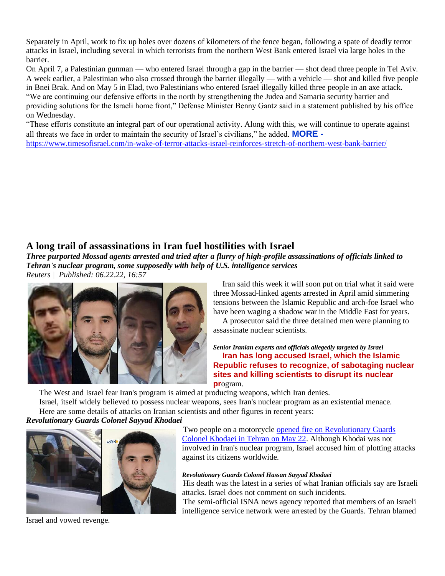Separately in April, work to fix up holes over dozens of kilometers of the fence began, following a spate of deadly terror attacks in Israel, including several in which terrorists from the northern West Bank entered Israel via large holes in the barrier.

On April 7, a Palestinian gunman — who entered Israel through a gap in the barrier — shot dead three people in Tel Aviv. A week earlier, a Palestinian who also crossed through the barrier illegally — with a vehicle — shot and killed five people in Bnei Brak. And on May 5 in Elad, two Palestinians who entered Israel illegally killed three people in an axe attack. "We are continuing our defensive efforts in the north by strengthening the Judea and Samaria security barrier and providing solutions for the Israeli home front," Defense Minister Benny Gantz said in a statement published by his office on Wednesday.

"These efforts constitute an integral part of our operational activity. Along with this, we will continue to operate against all threats we face in order to maintain the security of Israel's civilians," he added. **MORE**  <https://www.timesofisrael.com/in-wake-of-terror-attacks-israel-reinforces-stretch-of-northern-west-bank-barrier/>

## **A long trail of assassinations in Iran fuel hostilities with Israel**

*Three purported Mossad agents arrested and tried after a flurry of high-profile assassinations of officials linked to Tehran's nuclear program, some supposedly with help of U.S. intelligence services Reuters | Published: 06.22.22, 16:57* 



Iran said this week it will soon put on trial what it said were three Mossad-linked agents arrested in April amid simmering tensions between the Islamic Republic and arch-foe Israel who have been waging a shadow war in the Middle East for years.

A prosecutor said the three detained men were planning to assassinate nuclear scientists.

#### *Senior Iranian experts and officials allegedly targeted by Israel* **Iran has long accused Israel, which the Islamic Republic refuses to recognize, of sabotaging nuclear sites and killing scientists to disrupt its nuclear pr**ogram.

The West and Israel fear Iran's program is aimed at producing weapons, which Iran denies. Israel, itself widely believed to possess nuclear weapons, sees Iran's nuclear program as an existential menace.

Here are some details of attacks on Iranian scientists and other figures in recent years:

## *Revolutionary Guards Colonel Sayyad Khodaei*



Two people on a motorcycle [opened fire on Revolutionary Guards](https://www.ynetnews.com/article/b1yrgawv9)  [Colonel Khodaei in Tehran on May 22.](https://www.ynetnews.com/article/b1yrgawv9) Although Khodai was not involved in Iran's nuclear program, Israel accused him of plotting attacks against its citizens worldwide.

### *Revolutionary Guards Colonel Hassan Sayyad Khodaei*

His death was the latest in a series of what Iranian officials say are Israeli attacks. Israel does not comment on such incidents.

The semi-official ISNA news agency reported that members of an Israeli intelligence service network were arrested by the Guards. Tehran blamed

Israel and vowed revenge.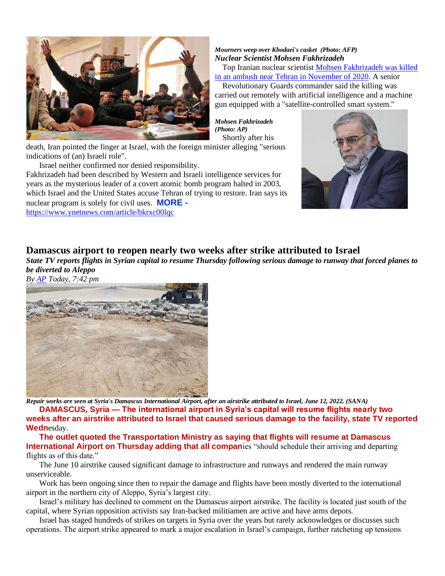

*Mourners weep over Khodaei's casket (Photo: AFP) Nuclear Scientist Mohsen Fakhrizadeh*

Top Iranian nuclear scientist [Mohsen Fakhrizadeh was killed](https://www.ynetnews.com/article/rJDD6BMZO)  [in an ambush near Tehran in November of 2020.](https://www.ynetnews.com/article/rJDD6BMZO) A senior

Revolutionary Guards commander said the killing was carried out remotely with artificial intelligence and a machine gun equipped with a "satellite-controlled smart system."

*Mohsen Fakhrizadeh (Photo: AP)* Shortly after his

death, Iran pointed the finger at Israel, with the foreign minister alleging "serious indications of (an) Israeli role".

Israel neither confirmed nor denied responsibility.

Fakhrizadeh had been described by Western and Israeli intelligence services for years as the mysterious leader of a covert atomic bomb program halted in 2003, which Israel and the United States accuse Tehran of trying to restore. Iran says its nuclear program is solely for civil uses. **MORE -**

<https://www.ynetnews.com/article/bkrxc00lqc>



## **Damascus airport to reopen nearly two weeks after strike attributed to Israel**

*State TV reports flights in Syrian capital to resume Thursday following serious damage to runway that forced planes to be diverted to Aleppo*

*By [AP](https://www.timesofisrael.com/writers/ap/) Today, 7:42 pm*



*Repair works are seen at Syria's Damascus International Airport, after an airstrike attributed to Israel, June 12, 2022. (SANA)* **DAMASCUS, Syria — The international airport in Syria's capital will resume flights nearly two weeks after an airstrike attributed to Israel that caused serious damage to the facility, state TV reported Wedn**esday.

**The outlet quoted the Transportation Ministry as saying that flights will resume at Damascus International Airport on Thursday adding that all compan**ies "should schedule their arriving and departing flights as of this date."

The June 10 airstrike caused significant damage to infrastructure and runways and rendered the main runway unserviceable.

Work has been ongoing since then to repair the damage and flights have been mostly diverted to the international airport in the northern city of Aleppo, Syria's largest city.

Israel's military has declined to comment on the Damascus airport airstrike. The facility is located just south of the capital, where Syrian opposition activists say Iran-backed militiamen are active and have arms depots.

Israel has staged hundreds of strikes on targets in Syria over the years but rarely acknowledges or discusses such operations. The airport strike appeared to mark a major escalation in Israel's campaign, further ratcheting up tensions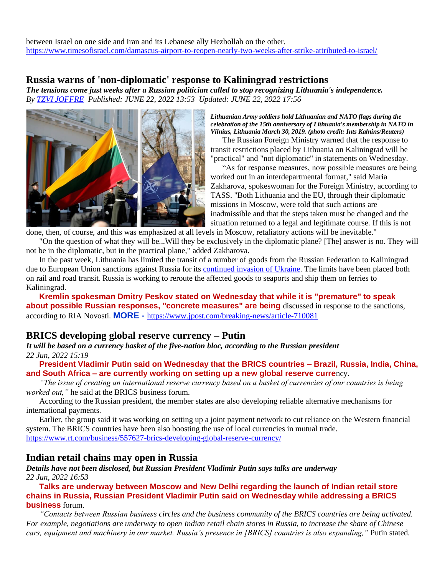between Israel on one side and Iran and its Lebanese ally Hezbollah on the other. <https://www.timesofisrael.com/damascus-airport-to-reopen-nearly-two-weeks-after-strike-attributed-to-israel/>

### **Russia warns of 'non-diplomatic' response to Kaliningrad restrictions**

*The tensions come just weeks after a Russian politician called to stop recognizing Lithuania's independence. By [TZVI JOFFRE](https://www.jpost.com/author/tzvi-joffre) Published: JUNE 22, 2022 13:53 Updated: JUNE 22, 2022 17:56*



*Lithuanian Army soldiers hold Lithuanian and NATO flags during the celebration of the 15th anniversary of Lithuania's membership in NATO in Vilnius, Lithuania March 30, 2019. (photo credit: Ints Kalnins/Reuters)*

The Russian Foreign Ministry warned that the response to transit restrictions placed by Lithuania on Kaliningrad will be "practical" and "not diplomatic" in statements on Wednesday.

"As for response measures, now possible measures are being worked out in an interdepartmental format," said Maria Zakharova, spokeswoman for the Foreign Ministry, according to TASS. "Both Lithuania and the EU, through their diplomatic missions in Moscow, were told that such actions are inadmissible and that the steps taken must be changed and the situation returned to a legal and legitimate course. If this is not

done, then, of course, and this was emphasized at all levels in Moscow, retaliatory actions will be inevitable." "On the question of what they will be...Will they be exclusively in the diplomatic plane? [The] answer is no. They will not be in the diplomatic, but in the practical plane," added Zakharova.

In the past week, Lithuania has limited the transit of a number of goods from the Russian Federation to Kaliningrad due to European Union sanctions against Russia for its [continued invasion of Ukraine.](https://www.jpost.com/international/article-710053) The limits have been placed both on rail and road transit. Russia is working to reroute the affected goods to seaports and ship them on ferries to Kaliningrad.

**Kremlin spokesman Dmitry Peskov stated on Wednesday that while it is "premature" to speak about possible Russian responses, "concrete measures" are being** discussed in response to the sanctions, according to RIA Novosti. **MORE -** <https://www.jpost.com/breaking-news/article-710081>

### **BRICS developing global reserve currency – Putin**

*It will be based on a currency basket of the five-nation bloc, according to the Russian president 22 Jun, 2022 15:19* 

**President Vladimir Putin said on Wednesday that the BRICS countries – Brazil, Russia, India, China, and South Africa – are currently working on setting up a new global reserve curre**ncy.

*"The issue of creating an international reserve currency based on a basket of currencies of our countries is being worked out,"* he said at the BRICS business forum.

According to the Russian president, the member states are also developing reliable alternative mechanisms for international payments.

Earlier, the group said it was working on setting up a joint payment network to cut reliance on the Western financial system. The BRICS countries have been also boosting the use of local currencies in mutual trade. <https://www.rt.com/business/557627-brics-developing-global-reserve-currency/>

### **Indian retail chains may open in Russia**

*Details have not been disclosed, but Russian President Vladimir Putin says talks are underway 22 Jun, 2022 16:53* 

**Talks are underway between Moscow and New Delhi regarding the launch of Indian retail store chains in Russia, Russian President Vladimir Putin said on Wednesday while addressing a BRICS business** forum.

*"Contacts between Russian business circles and the business community of the BRICS countries are being activated. For example, negotiations are underway to open Indian retail chain stores in Russia, to increase the share of Chinese cars, equipment and machinery in our market. Russia's presence in [BRICS] countries is also expanding,"* Putin stated.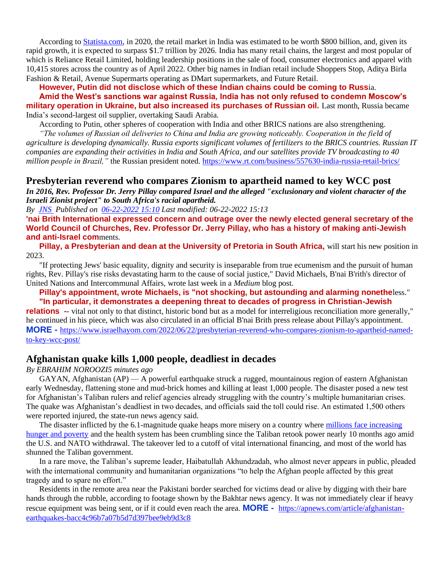According to [Statista.com,](http://statista.com/) in 2020, the retail market in India was estimated to be worth \$800 billion, and, given its rapid growth, it is expected to surpass \$1.7 trillion by 2026. India has many retail chains, the largest and most popular of which is Reliance Retail Limited, holding leadership positions in the sale of food, consumer electronics and apparel with 10,415 stores across the country as of April 2022. Other big names in Indian retail include Shoppers Stop, Aditya Birla Fashion & Retail, Avenue Supermarts operating as DMart supermarkets, and Future Retail.

**However, Putin did not disclose which of these Indian chains could be coming to Russ**ia.

**Amid the West's sanctions war against Russia, India has not only refused to condemn Moscow's military operation in Ukraine, but also increased its purchases of Russian oil.** Last month, Russia became India's second-largest oil supplier, overtaking Saudi Arabia.

According to Putin, other spheres of cooperation with India and other BRICS nations are also strengthening.

*"The volumes of Russian oil deliveries to China and India are growing noticeably. Cooperation in the field of agriculture is developing dynamically. Russia exports significant volumes of fertilizers to the BRICS countries. Russian IT companies are expanding their activities in India and South Africa, and our satellites provide TV broadcasting to 40 million people in Brazil*," the Russian president noted. <https://www.rt.com/business/557630-india-russia-retail-brics/>

### **Presbyterian reverend who compares Zionism to apartheid named to key WCC post**

*In 2016, Rev. Professor Dr. Jerry Pillay compared Israel and the alleged "exclusionary and violent character of the Israeli Zionist project" to South Africa's racial apartheid.*

*By [JNS](https://www.israelhayom.com/writer/jns/) Published on [06-22-2022 15:10](https://www.israelhayom.com/2022/06/22/presbyterian-reverend-who-compares-zionism-to-apartheid-named-to-key-wcc-post/) Last modified: 06-22-2022 15:13*

**'nai Brith International expressed concern and outrage over the newly elected general secretary of the World Council of Churches, Rev. Professor Dr. Jerry Pillay, who has a history of making anti-Jewish and anti-Israel com**ments.

**Pillay, a Presbyterian and dean at the University of Pretoria in South Africa, will start his new position in** 2023.

"If protecting Jews' basic equality, dignity and security is inseparable from true ecumenism and the pursuit of human rights, Rev. Pillay's rise risks devastating harm to the cause of social justice," David Michaels, B'nai B'rith's director of United Nations and Intercommunal Affairs, wrote last week in a *Medium* blog post.

**Pillay's appointment, wrote Michaels, is "not shocking, but astounding and alarming nonethe**less." **"In particular, it demonstrates a deepening threat to decades of progress in Christian-Jewish** 

**relations** -- vital not only to that distinct, historic bond but as a model for interreligious reconciliation more generally," he continued in his piece, which was also circulated in an official B'nai Brith press release about Pillay's appointment. **MORE -** [https://www.israelhayom.com/2022/06/22/presbyterian-reverend-who-compares-zionism-to-apartheid-named](https://www.israelhayom.com/2022/06/22/presbyterian-reverend-who-compares-zionism-to-apartheid-named-to-key-wcc-post/)[to-key-wcc-post/](https://www.israelhayom.com/2022/06/22/presbyterian-reverend-who-compares-zionism-to-apartheid-named-to-key-wcc-post/)

### **Afghanistan quake kills 1,000 people, deadliest in decades**

*By EBRAHIM NOROOZI5 minutes ago*

GAYAN, Afghanistan  $AP$ ) — A powerful earthquake struck a rugged, mountainous region of eastern Afghanistan early Wednesday, flattening stone and mud-brick homes and killing at least 1,000 people. The disaster posed a new test for Afghanistan's Taliban rulers and relief agencies already struggling with the country's multiple humanitarian crises. The quake was Afghanistan's deadliest in two decades, and officials said the toll could rise. An estimated 1,500 others were reported injured, the state-run news agency said.

The disaster inflicted by the 6.1-magnitude quake heaps more misery on a country where [millions face increasing](https://apnews.com/article/afghanistan-health-prices-united-nations-d74bb5f7326d57e53e17258a42452d92)  [hunger and poverty](https://apnews.com/article/afghanistan-health-prices-united-nations-d74bb5f7326d57e53e17258a42452d92) and the health system has been crumbling since the Taliban retook power nearly 10 months ago amid the U.S. and NATO withdrawal. The takeover led to a cutoff of vital international financing, and most of the world has shunned the Taliban government.

In a rare move, the Taliban's supreme leader, Haibatullah Akhundzadah, who almost never appears in public, pleaded with the international community and humanitarian organizations "to help the Afghan people affected by this great tragedy and to spare no effort."

Residents in the remote area near the Pakistani border searched for victims dead or alive by digging with their bare hands through the rubble, according to footage shown by the Bakhtar news agency. It was not immediately clear if heavy rescue equipment was being sent, or if it could even reach the area. **MORE -** [https://apnews.com/article/afghanistan](https://apnews.com/article/afghanistan-earthquakes-bacc4c96b7a07b5d7d397bee9eb9d3c8)[earthquakes-bacc4c96b7a07b5d7d397bee9eb9d3c8](https://apnews.com/article/afghanistan-earthquakes-bacc4c96b7a07b5d7d397bee9eb9d3c8)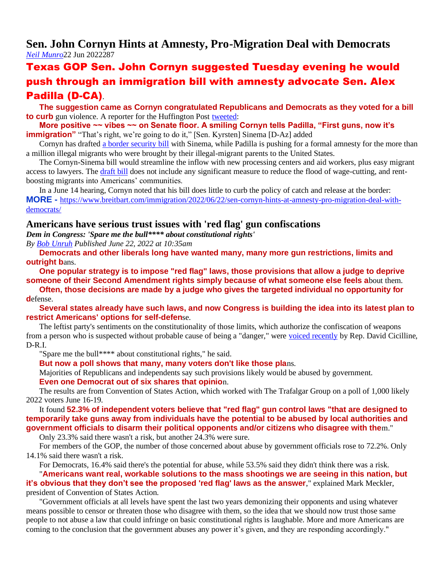## **Sen. John Cornyn Hints at Amnesty, Pro-Migration Deal with Democrats** *[Neil Munro](https://www.breitbart.com/author/neil-munro/)*22 Jun 2022287

## Texas GOP Sen. John Cornyn suggested Tuesday evening he would push through an immigration bill with amnesty advocate Sen. Alex Padilla (D-CA).

**The suggestion came as Cornyn congratulated Republicans and Democrats as they voted for a bill to curb** gun violence. A reporter for the Huffington Post [tweeted:](https://twitter.com/igorbobic/status/1539397662147072006?s=20&t=FDpjGbTOvFxkBP8bfLXmSA)

**More positive ~~ vibes ~~ on Senate floor. A smiling Cornyn tells Padilla, "First guns, now it's immigration**" "That's right, we're going to do it," [Sen. Kyrsten] Sinema [D-Az] added

Cornyn has drafted [a border security bill](https://www.sinema.senate.gov/sinema-cornyn-announce-bipartisan-bicameral-legislation-addressing-crisis-border) with Sinema, while Padilla is pushing for a formal amnesty for the more than a million illegal migrants who were brought by their illegal-migrant parents to the United States.

The Cornyn-Sinema bill would streamline the inflow with new processing centers and aid workers, plus easy migrant access to lawyers. Th[e draft bill](https://www.sinema.senate.gov/sites/default/files/2021-04/Bipartisan%20Border%20Solutions%20Act%20text.pdf) does not include any significant measure to reduce the flood of wage-cutting, and rentboosting migrants into Americans' communities.

In a June 14 hearing, Cornyn noted that his bill does little to curb the policy of catch and release at the border: **MORE -** [https://www.breitbart.com/immigration/2022/06/22/sen-cornyn-hints-at-amnesty-pro-migration-deal-with](https://www.breitbart.com/immigration/2022/06/22/sen-cornyn-hints-at-amnesty-pro-migration-deal-with-democrats/)[democrats/](https://www.breitbart.com/immigration/2022/06/22/sen-cornyn-hints-at-amnesty-pro-migration-deal-with-democrats/)

### **Americans have serious trust issues with 'red flag' gun confiscations**

*Dem in Congress: 'Spare me the bull\*\*\*\* about constitutional rights'*

*By [Bob Unruh](https://www.wnd.com/author/runruh/) Published June 22, 2022 at 10:35am* 

**Democrats and other liberals long have wanted many, many more gun restrictions, limits and outright b**ans.

**One popular strategy is to impose "red flag" laws, those provisions that allow a judge to deprive someone of their Second Amendment rights simply because of what someone else feels a**bout them.

**Often, those decisions are made by a judge who gives the targeted individual no opportunity for d**efense.

**Several states already have such laws, and now Congress is building the idea into its latest plan to restrict Americans' options for self-defen**se.

The leftist party's sentiments on the constitutionality of those limits, which authorize the confiscation of weapons from a person who is suspected without probable cause of being a "danger," were [voiced recently](https://www.wnd.com/2022/06/democrat-lawmaker-spare-bull-constitutional-rights/) by Rep. David Cicilline, D-R.I.

"Spare me the bull\*\*\*\* about constitutional rights," he said.

**But now a poll shows that many, many voters don't like those pla**ns.

Majorities of Republicans and independents say such provisions likely would be abused by government.

**Even one Democrat out of six shares that opinio**n.

The results are from Convention of States Action, which worked with The Trafalgar Group on a poll of 1,000 likely 2022 voters June 16-19.

It found **52.3% of independent voters believe that "red flag" gun control laws "that are designed to temporarily take guns away from individuals have the potential to be abused by local authorities and government officials to disarm their political opponents and/or citizens who disagree with the**m."

Only 23.3% said there wasn't a risk, but another 24.3% were sure.

For members of the GOP, the number of those concerned about abuse by government officials rose to 72.2%. Only 14.1% said there wasn't a risk.

For Democrats, 16.4% said there's the potential for abuse, while 53.5% said they didn't think there was a risk.

"**Americans want real, workable solutions to the mass shootings we are seeing in this nation, but it's obvious that they don't see the proposed 'red flag' laws as the answer**," explained Mark Meckler, president of Convention of States Action.

"Government officials at all levels have spent the last two years demonizing their opponents and using whatever means possible to censor or threaten those who disagree with them, so the idea that we should now trust those same people to not abuse a law that could infringe on basic constitutional rights is laughable. More and more Americans are coming to the conclusion that the government abuses any power it's given, and they are responding accordingly."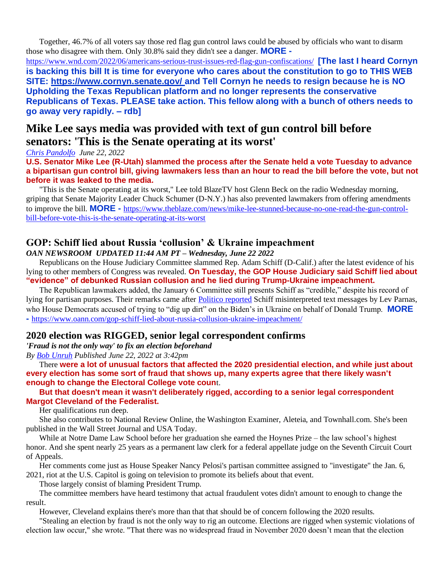Together, 46.7% of all voters say those red flag gun control laws could be abused by officials who want to disarm those who disagree with them. Only 30.8% said they didn't see a danger. **MORE -**

<https://www.wnd.com/2022/06/americans-serious-trust-issues-red-flag-gun-confiscations/>**[The last I heard Cornyn is backing this bill It is time for everyone who cares about the constitution to go to THIS WEB SITE:<https://www.cornyn.senate.gov/> and Tell Cornyn he needs to resign because he is NO Upholding the Texas Republican platform and no longer represents the conservative Republicans of Texas. PLEASE take action. This fellow along with a bunch of others needs to go away very rapidly. – rdb]**

## **Mike Lee says media was provided with text of gun control bill before senators: 'This is the Senate operating at its worst'**

*[Chris Pandolfo](https://www.theblaze.com/u/christopherpandolfo) June 22, 2022*

**U.S. Senator Mike Lee (R-Utah) slammed the process after the Senate held a vote Tuesday to advance a bipartisan gun control bill, giving lawmakers less than an hour to read the bill before the vote, but not before it was leaked to the media.** 

"This is the Senate operating at its worst," Lee told BlazeTV host Glenn Beck on the radio Wednesday morning, griping that Senate Majority Leader Chuck Schumer (D-N.Y.) has also prevented lawmakers from offering amendments to improve the bill. **MORE -** [https://www.theblaze.com/news/mike-lee-stunned-because-no-one-read-the-gun-control](https://www.theblaze.com/news/mike-lee-stunned-because-no-one-read-the-gun-control-bill-before-vote-this-is-the-senate-operating-at-its-worst)[bill-before-vote-this-is-the-senate-operating-at-its-worst](https://www.theblaze.com/news/mike-lee-stunned-because-no-one-read-the-gun-control-bill-before-vote-this-is-the-senate-operating-at-its-worst)

## **GOP: Schiff lied about Russia 'collusion' & Ukraine impeachment**

*OAN NEWSROOM UPDATED 11:44 AM PT – Wednesday, June 22 2022*

Republicans on the House Judiciary Committee slammed Rep. Adam Schiff (D-Calif.) after the latest evidence of his lying to other members of Congress was revealed. **On Tuesday, the GOP House Judiciary said Schiff lied about "evidence" of debunked Russian collusion and he lied during Trump-Ukraine impeachment.**

The Republican lawmakers added, the January 6 Committee still presents Schiff as "credible," despite his record of lying for partisan purposes. Their remarks came after [Politico reported](https://www.politico.com/news/2020/01/21/schiff-parnas-trump-evidence-101832) Schiff misinterpreted text messages by Lev Parnas, who House Democrats accused of trying to "dig up dirt" on the Biden's in Ukraine on behalf of Donald Trump. **MORE -** <https://www.oann.com/gop-schiff-lied-about-russia-collusion-ukraine-impeachment/>

### **2020 election was RIGGED, senior legal correspondent confirms**

*'Fraud is not the only way' to fix an election beforehand*

*By [Bob Unruh](https://www.wnd.com/author/runruh/) Published June 22, 2022 at 3:42pm* 

There **were a lot of unusual factors that affected the 2020 presidential election, and while just about every election has some sort of fraud that shows up, many experts agree that there likely wasn't enough to change the Electoral College vote coun**t.

### **But that doesn't mean it wasn't deliberately rigged, according to a senior legal correspondent Margot Cleveland of [the Federalist.](https://thefederalist.com/2022/06/22/j6-committee-focuses-on-election-fraud-claims-while-ignoring-tactics-used-to-rig-the-2020-election/)**

Her qualifications run deep.

She also contributes to National Review Online, the Washington Examiner, Aleteia, and Townhall.com. She's been published in the Wall Street Journal and USA Today.

While at Notre Dame Law School before her graduation she earned the Hoynes Prize – the law school's highest honor. And she spent nearly 25 years as a permanent law clerk for a federal appellate judge on the Seventh Circuit Court of Appeals.

Her comments come just as House Speaker Nancy Pelosi's partisan committee assigned to "investigate" the Jan. 6, 2021, riot at the U.S. Capitol is going on television to promote its beliefs about that event.

Those largely consist of blaming President Trump.

The committee members have heard testimony that actual fraudulent votes didn't amount to enough to change the result.

However, Cleveland explains there's more than that that should be of concern following the 2020 results.

"Stealing an election by fraud is not the only way to rig an outcome. Elections are rigged when systemic violations of election law occur," she wrote. "That there was no widespread fraud in November 2020 doesn't mean that the election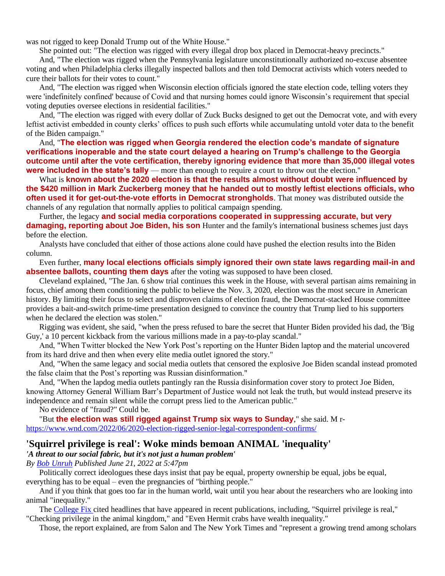was not rigged to keep Donald Trump out of the White House."

She pointed out: "The election was rigged with every illegal drop box placed in Democrat-heavy precincts."

And, "The election was rigged when the Pennsylvania legislature unconstitutionally authorized no-excuse absentee voting and when Philadelphia clerks illegally inspected ballots and then told Democrat activists which voters needed to cure their ballots for their votes to count."

And, "The election was rigged when Wisconsin election officials ignored the state election code, telling voters they were 'indefinitely confined' because of Covid and that nursing homes could ignore Wisconsin's requirement that special voting deputies oversee elections in residential facilities."

And, "The election was rigged with every dollar of Zuck Bucks designed to get out the Democrat vote, and with every leftist activist embedded in county clerks' offices to push such efforts while accumulating untold voter data to the benefit of the Biden campaign."

And, "**The election was rigged when Georgia rendered the election code's mandate of signature verifications inoperable and the state court delayed a hearing on Trump's challenge to the Georgia outcome until after the vote certification, thereby ignoring evidence that more than 35,000 illegal votes were included in the state's tally** — more than enough to require a court to throw out the election."

What is **known about the 2020 election is that the results almost without doubt were influenced by the \$420 million in Mark Zuckerberg money that he handed out to mostly leftist elections officials, who often used it for get-out-the-vote efforts in Democrat strongholds**. That money was distributed outside the channels of any regulation that normally applies to political campaign spending.

Further, the legacy **and social media corporations cooperated in suppressing accurate, but very damaging, reporting about Joe Biden, his son** Hunter and the family's international business schemes just days before the election.

Analysts have concluded that either of those actions alone could have pushed the election results into the Biden column.

#### Even further, **many local elections officials simply ignored their own state laws regarding mail-in and absentee ballots, counting them days** after the voting was supposed to have been closed.

Cleveland explained, "The Jan. 6 show trial continues this week in the House, with several partisan aims remaining in focus, chief among them conditioning the public to believe the Nov. 3, 2020, election was the most secure in American history. By limiting their focus to select and disproven claims of election fraud, the Democrat-stacked House committee provides a bait-and-switch prime-time presentation designed to convince the country that Trump lied to his supporters when he declared the election was stolen."

Rigging was evident, she said, "when the press refused to bare the secret that Hunter Biden provided his dad, the 'Big Guy,' a 10 percent kickback from the various millions made in a pay-to-play scandal."

And, "When Twitter blocked the New York Post's reporting on the Hunter Biden laptop and the material uncovered from its hard drive and then when every elite media outlet ignored the story."

And, "When the same legacy and social media outlets that censored the explosive Joe Biden scandal instead promoted the false claim that the Post's reporting was Russian disinformation."

And, "When the lapdog media outlets pantingly ran the Russia disinformation cover story to protect Joe Biden, knowing Attorney General William Barr's Department of Justice would not leak the truth, but would instead preserve its independence and remain silent while the corrupt press lied to the American public."

No evidence of "fraud?" Could be.

"But **the election was still rigged against Trump six ways to Sunday**," she said. M r<https://www.wnd.com/2022/06/2020-election-rigged-senior-legal-correspondent-confirms/>

### **'Squirrel privilege is real': Woke minds bemoan ANIMAL 'inequality'**

#### *'A threat to our social fabric, but it's not just a human problem'*

*By [Bob Unruh](https://www.wnd.com/author/runruh/) Published June 21, 2022 at 5:47pm* 

Politically correct ideologues these days insist that pay be equal, property ownership be equal, jobs be equal, everything has to be equal – even the pregnancies of "birthing people."

And if you think that goes too far in the human world, wait until you hear about the researchers who are looking into animal "inequality."

The [College Fix c](https://www.thecollegefix.com/checking-privilege-in-the-animal-kingdom-biologists-investigate-animal-inequality/)ited headlines that have appeared in recent publications, including, "Squirrel privilege is real,"

"Checking privilege in the animal kingdom," and "Even Hermit crabs have wealth inequality."

Those, the report explained, are from Salon and The New York Times and "represent a growing trend among scholars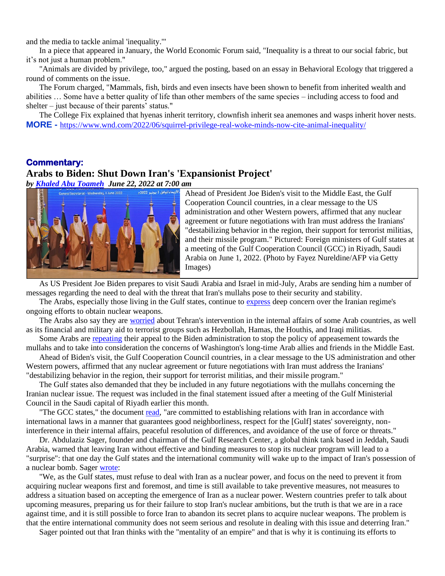and the media to tackle animal 'inequality.'"

In a piece that appeared in January, the World Economic Forum said, "Inequality is a threat to our social fabric, but it's not just a human problem."

"Animals are divided by privilege, too," argued the posting, based on an essay in Behavioral Ecology that triggered a round of comments on the issue.

The Forum charged, "Mammals, fish, birds and even insects have been shown to benefit from inherited wealth and abilities … Some have a better quality of life than other members of the same species – including access to food and shelter – just because of their parents' status."

The College Fix explained that hyenas inherit territory, clownfish inherit sea anemones and wasps inherit hover nests. **MORE -** <https://www.wnd.com/2022/06/squirrel-privilege-real-woke-minds-now-cite-animal-inequality/>

#### **Commentary:**

### **Arabs to Biden: Shut Down Iran's 'Expansionist Project'**

*by [Khaled Abu Toameh](https://www.gatestoneinstitute.org/author/Khaled+Abu+Toameh) June 22, 2022 at 7:00 am*



Ahead of President Joe Biden's visit to the Middle East, the Gulf Cooperation Council countries, in a clear message to the US administration and other Western powers, affirmed that any nuclear agreement or future negotiations with Iran must address the Iranians' "destabilizing behavior in the region, their support for terrorist militias, and their missile program." Pictured: Foreign ministers of Gulf states at a meeting of the Gulf Cooperation Council (GCC) in Riyadh, Saudi Arabia on June 1, 2022. (Photo by Fayez Nureldine/AFP via Getty Images)

As US President Joe Biden prepares to visit Saudi Arabia and Israel in mid-July, Arabs are sending him a number of messages regarding the need to deal with the threat that Iran's mullahs pose to their security and stability.

The Arabs, especially those living in the Gulf states, continue to [express](https://www.swissinfo.ch/ara/%D8%A7%D9%84%D8%A5%D9%85%D8%A7%D8%B1%D8%A7%D8%AA-%D8%AA%D8%AD%D8%AB-%D8%A5%D9%8A%D8%B1%D8%A7%D9%86-%D8%B9%D9%84%D9%89-%D8%AA%D9%82%D8%AF%D9%8A%D9%85--%D8%AA%D8%B7%D9%85%D9%8A%D9%86%D8%A7%D8%AA--%D9%84%D8%AF%D9%88%D9%84-%D8%A7%D9%84%D8%AE%D9%84%D9%8A%D8%AC-%D8%A8%D8%B4%D8%A3%D9%86-%D8%A8%D8%B1%D9%86%D8%A7%D9%85%D8%AC%D9%87%D8%A7-%D8%A7%D9%84%D9%86%D9%88%D9%88%D9%8A/47682510) deep concern over the Iranian regime's ongoing efforts to obtain nuclear weapons.

The Arabs also say they are [worried](https://www.al-madina.com/article/792340/%D9%83%D8%AA%D8%A7%D8%A8/%D8%A5%D9%8A%D8%B1%D8%A7%D9%86-%D8%A7%D9%84%D8%B4%D8%B1-%D9%88%D8%A7%D9%84%D8%B4%D8%B1-%D8%A5%D9%8A%D8%B1%D8%A7%D9%86) about Tehran's intervention in the internal affairs of some Arab countries, as well as its financial and military aid to terrorist groups such as Hezbollah, Hamas, the Houthis, and Iraqi militias.

Some Arabs are [repeating](https://www.turkpress.co/node/92116) their appeal to the Biden administration to stop the policy of appeasement towards the mullahs and to take into consideration the concerns of Washington's long-time Arab allies and friends in the Middle East.

Ahead of Biden's visit, the Gulf Cooperation Council countries, in a clear message to the US administration and other Western powers, affirmed that any nuclear agreement or future negotiations with Iran must address the Iranians' "destabilizing behavior in the region, their support for terrorist militias, and their missile program."

The Gulf states also demanded that they be included in any future negotiations with the mullahs concerning the Iranian nuclear issue. The request was included in the final statement issued after a meeting of the Gulf Ministerial Council in the Saudi capital of Riyadh earlier this month.

"The GCC states," the document [read,](https://alkhaleejonline.net/سياسة/دول-الخليج-تؤكد-تمسكها-بحضور-أي-مفاوضات-حول-إيران) "are committed to establishing relations with Iran in accordance with international laws in a manner that guarantees good neighborliness, respect for the [Gulf] states' sovereignty, noninterference in their internal affairs, peaceful resolution of differences, and avoidance of the use of force or threats."

Dr. Abdulaziz Sager, founder and chairman of the Gulf Research Center, a global think tank based in Jeddah, Saudi Arabia, warned that leaving Iran without effective and binding measures to stop its nuclear program will lead to a "surprise": that one day the Gulf states and the international community will wake up to the impact of Iran's possession of a nuclear bomb. Sager [wrote:](https://www.alanba.com.kw/1124826)

"We, as the Gulf states, must refuse to deal with Iran as a nuclear power, and focus on the need to prevent it from acquiring nuclear weapons first and foremost, and time is still available to take preventive measures, not measures to address a situation based on accepting the emergence of Iran as a nuclear power. Western countries prefer to talk about upcoming measures, preparing us for their failure to stop Iran's nuclear ambitions, but the truth is that we are in a race against time, and it is still possible to force Iran to abandon its secret plans to acquire nuclear weapons. The problem is that the entire international community does not seem serious and resolute in dealing with this issue and deterring Iran."

Sager pointed out that Iran thinks with the "mentality of an empire" and that is why it is continuing its efforts to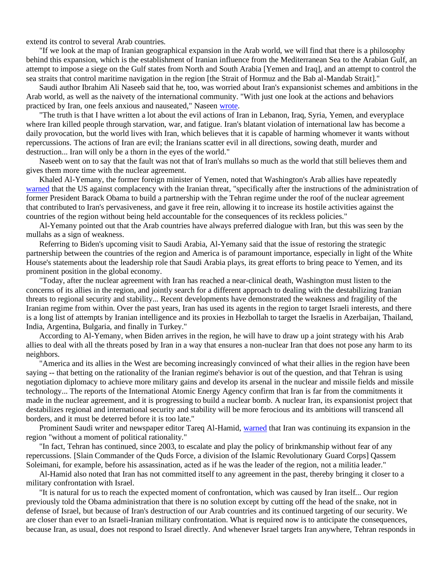extend its control to several Arab countries.

"If we look at the map of Iranian geographical expansion in the Arab world, we will find that there is a philosophy behind this expansion, which is the establishment of Iranian influence from the Mediterranean Sea to the Arabian Gulf, an attempt to impose a siege on the Gulf states from North and South Arabia [Yemen and Iraq], and an attempt to control the sea straits that control maritime navigation in the region [the Strait of Hormuz and the Bab al-Mandab Strait]."

Saudi author Ibrahim Ali Naseeb said that he, too, was worried about Iran's expansionist schemes and ambitions in the Arab world, as well as the naivety of the international community. "With just one look at the actions and behaviors practiced by Iran, one feels anxious and nauseated," Naseen [wrote.](https://www.al-madina.com/article/792340/%D9%83%D8%AA%D8%A7%D8%A8/%D8%A5%D9%8A%D8%B1%D8%A7%D9%86-%D8%A7%D9%84%D8%B4%D8%B1-%D9%88%D8%A7%D9%84%D8%B4%D8%B1-%D8%A5%D9%8A%D8%B1%D8%A7%D9%86)

"The truth is that I have written a lot about the evil actions of Iran in Lebanon, Iraq, Syria, Yemen, and everyplace where Iran killed people through starvation, war, and fatigue. Iran's blatant violation of international law has become a daily provocation, but the world lives with Iran, which believes that it is capable of harming whomever it wants without repercussions. The actions of Iran are evil; the Iranians scatter evil in all directions, sowing death, murder and destruction... Iran will only be a thorn in the eyes of the world."

Naseeb went on to say that the fault was not that of Iran's mullahs so much as the world that still believes them and gives them more time with the nuclear agreement.

Khaled Al-Yemany, the former foreign minister of Yemen, noted that Washington's Arab allies have repeatedly [warned](https://www.independentarabia.com/node/342616/%D8%A2%D8%B1%D8%A7%D8%A1/%D8%AA%D8%AD%D8%A7%D9%84%D9%81-%D8%A7%D9%84%D8%A3%D9%82%D9%88%D9%8A%D8%A7%D8%A1-%D9%85%D9%86-%D8%A3%D8%AC%D9%84-%D8%A7%D9%84%D8%AE%D9%8A%D8%B1-%D9%88%D8%A7%D9%84%D9%86%D9%85%D8%A7%D8%A1) that the US against complacency with the Iranian threat, "specifically after the instructions of the administration of former President Barack Obama to build a partnership with the Tehran regime under the roof of the nuclear agreement that contributed to Iran's pervasiveness, and gave it free rein, allowing it to increase its hostile activities against the countries of the region without being held accountable for the consequences of its reckless policies."

Al-Yemany pointed out that the Arab countries have always preferred dialogue with Iran, but this was seen by the mullahs as a sign of weakness.

Referring to Biden's upcoming visit to Saudi Arabia, Al-Yemany said that the issue of restoring the strategic partnership between the countries of the region and America is of paramount importance, especially in light of the White House's statements about the leadership role that Saudi Arabia plays, its great efforts to bring peace to Yemen, and its prominent position in the global economy.

"Today, after the nuclear agreement with Iran has reached a near-clinical death, Washington must listen to the concerns of its allies in the region, and jointly search for a different approach to dealing with the destabilizing Iranian threats to regional security and stability... Recent developments have demonstrated the weakness and fragility of the Iranian regime from within. Over the past years, Iran has used its agents in the region to target Israeli interests, and there is a long list of attempts by Iranian intelligence and its proxies in Hezbollah to target the Israelis in Azerbaijan, Thailand, India, Argentina, Bulgaria, and finally in Turkey."

According to Al-Yemany, when Biden arrives in the region, he will have to draw up a joint strategy with his Arab allies to deal with all the threats posed by Iran in a way that ensures a non-nuclear Iran that does not pose any harm to its neighbors.

"America and its allies in the West are becoming increasingly convinced of what their allies in the region have been saying -- that betting on the rationality of the Iranian regime's behavior is out of the question, and that Tehran is using negotiation diplomacy to achieve more military gains and develop its arsenal in the nuclear and missile fields and missile technology... The reports of the International Atomic Energy Agency confirm that Iran is far from the commitments it made in the nuclear agreement, and it is progressing to build a nuclear bomb. A nuclear Iran, its expansionist project that destabilizes regional and international security and stability will be more ferocious and its ambitions will transcend all borders, and it must be deterred before it is too late."

Prominent Saudi writer and newspaper editor Tareq Al-Hamid[, warned](https://aawsat.com/home/article/3703501/%D8%B7%D8%A7%D8%B1%D9%82-%D8%A7%D9%84%D8%AD%D9%85%D9%8A%D8%AF/%D8%A7%D8%B3%D8%AA%D9%87%D8%AF%D8%A7%D9%81-%D8%B1%D8%A3%D8%B3-%D8%A7%D9%84%D8%A3%D8%AE%D8%B7%D8%A8%D9%88%D8%B7) that Iran was continuing its expansion in the region "without a moment of political rationality."

"In fact, Tehran has continued, since 2003, to escalate and play the policy of brinkmanship without fear of any repercussions. [Slain Commander of the Quds Force, a division of the Islamic Revolutionary Guard Corps] Qassem Soleimani, for example, before his assassination, acted as if he was the leader of the region, not a militia leader."

Al-Hamid also noted that Iran has not committed itself to any agreement in the past, thereby bringing it closer to a military confrontation with Israel.

"It is natural for us to reach the expected moment of confrontation, which was caused by Iran itself... Our region previously told the Obama administration that there is no solution except by cutting off the head of the snake, not in defense of Israel, but because of Iran's destruction of our Arab countries and its continued targeting of our security. We are closer than ever to an Israeli-Iranian military confrontation. What is required now is to anticipate the consequences, because Iran, as usual, does not respond to Israel directly. And whenever Israel targets Iran anywhere, Tehran responds in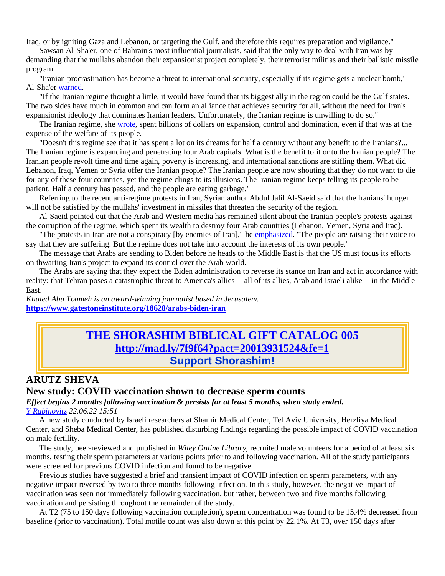Iraq, or by igniting Gaza and Lebanon, or targeting the Gulf, and therefore this requires preparation and vigilance."

Sawsan Al-Sha'er, one of Bahrain's most influential journalists, said that the only way to deal with Iran was by demanding that the mullahs abandon their expansionist project completely, their terrorist militias and their ballistic missile program.

"Iranian procrastination has become a threat to international security, especially if its regime gets a nuclear bomb," Al-Sha'er [warned.](https://al-ain.com/article/iran-abandoned-expansionist-project)

"If the Iranian regime thought a little, it would have found that its biggest ally in the region could be the Gulf states. The two sides have much in common and can form an alliance that achieves security for all, without the need for Iran's expansionist ideology that dominates Iranian leaders. Unfortunately, the Iranian regime is unwilling to do so."

The Iranian regime, she [wrote,](https://al-ain.com/article/iran-abandoned-expansionist-project) spent billions of dollars on expansion, control and domination, even if that was at the expense of the welfare of its people.

"Doesn't this regime see that it has spent a lot on its dreams for half a century without any benefit to the Iranians?... The Iranian regime is expanding and penetrating four Arab capitals. What is the benefit to it or to the Iranian people? The Iranian people revolt time and time again, poverty is increasing, and international sanctions are stifling them. What did Lebanon, Iraq, Yemen or Syria offer the Iranian people? The Iranian people are now shouting that they do not want to die for any of these four countries, yet the regime clings to its illusions. The Iranian regime keeps telling its people to be patient. Half a century has passed, and the people are eating garbage."

Referring to the recent anti-regime protests in Iran, Syrian author Abdul Jalil Al-Saeid said that the Iranians' hunger will not be satisfied by the mullahs' investment in missiles that threaten the security of the region.

Al-Saeid pointed out that the Arab and Western media has remained silent about the Iranian people's protests against the corruption of the regime, which spent its wealth to destroy four Arab countries (Lebanon, Yemen, Syria and Iraq).

"The protests in Iran are not a conspiracy [by enemies of Iran]," he [emphasized.](https://al-ain.com/article/speech-defeat-iran-reality-belated-recognition) "The people are raising their voice to say that they are suffering. But the regime does not take into account the interests of its own people."

The message that Arabs are sending to Biden before he heads to the Middle East is that the US must focus its efforts on thwarting Iran's project to expand its control over the Arab world.

The Arabs are saying that they expect the Biden administration to reverse its stance on Iran and act in accordance with reality: that Tehran poses a catastrophic threat to America's allies -- all of its allies, Arab and Israeli alike -- in the Middle East.

*Khaled Abu Toameh is an award-winning journalist based in Jerusalem.* **<https://www.gatestoneinstitute.org/18628/arabs-biden-iran>**

## **THE SHORASHIM BIBLICAL GIFT CATALOG 005 <http://mad.ly/7f9f64?pact=20013931524&fe=1> Support Shorashim!**

## **ARUTZ SHEVA New study: COVID vaccination shown to decrease sperm counts**

*Effect begins 2 months following vaccination & persists for at least 5 months, when study ended. [Y Rabinovitz](https://www.israelnationalnews.com/author/Y_Rabinovitz) 22.06.22 15:51*

A new study conducted by Israeli researchers at Shamir Medical Center, Tel Aviv University, Herzliya Medical Center, and Sheba Medical Center, has published disturbing findings regarding the possible impact of COVID vaccination on male fertility.

The study, peer-reviewed and published in *Wiley Online Library*, recruited male volunteers for a period of at least six months, testing their sperm parameters at various points prior to and following vaccination. All of the study participants were screened for previous COVID infection and found to be negative.

Previous studies have suggested a brief and transient impact of COVID infection on sperm parameters, with any negative impact reversed by two to three months following infection. In this study, however, the negative impact of vaccination was seen not immediately following vaccination, but rather, between two and five months following vaccination and persisting throughout the remainder of the study.

At T2 (75 to 150 days following vaccination completion), sperm concentration was found to be 15.4% decreased from baseline (prior to vaccination). Total motile count was also down at this point by 22.1%. At T3, over 150 days after